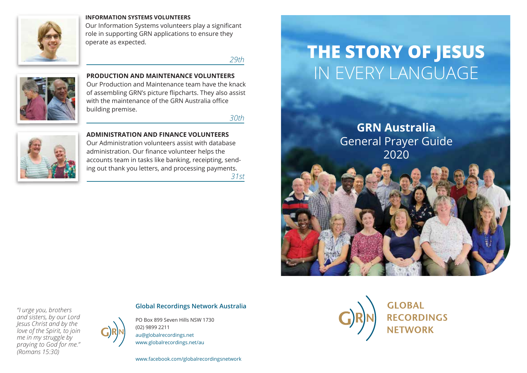

### **INFORMATION SYSTEMS VOLUNTEERS**

Our Information Systems volunteers play a significant role in supporting GRN applications to ensure they operate as expected.

*29th*



**PRODUCTION AND MAINTENANCE VOLUNTEERS** Our Production and Maintenance team have the knack of assembling GRN's picture flipcharts. They also assist with the maintenance of the GRN Australia office building premise.

*30th*



**ADMINISTRATION AND FINANCE VOLUNTEERS** Our Administration volunteers assist with database administration. Our finance volunteer helps the accounts team in tasks like banking, receipting, sending out thank you letters, and processing payments. *31st*

# **THE STORY OF JESUS** IN EVERY LANGUAGE

**GRN Australia** General Prayer Guide 2020

*"I urge you, brothers and sisters, by our Lord Jesus Christ and by the love of the Spirit, to join me in my struggle by praying to God for me." (Romans 15:30)*



**Global Recordings Network Australia**

PO Box 899 Seven Hills NSW 1730 (02) 9899 2211 au@globalrecordings.net www.globalrecordings.net/au

www.facebook.com/globalrecordingsnetwork

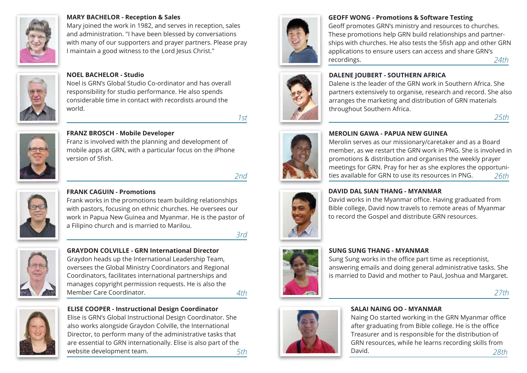

### **MARY BACHELOR - Reception & Sales**

Mary joined the work in 1982, and serves in reception, sales and administration. "I have been blessed by conversations with many of our supporters and prayer partners. Please pray I maintain a good witness to the Lord Jesus Christ."



### **NOEL BACHELOR - Studio**

Noel is GRN's Global Studio Co-ordinator and has overall responsibility for studio performance. He also spends considerable time in contact with recordists around the world.

*1st*



### **FRANZ BROSCH - Mobile Developer**

Franz is involved with the planning and development of mobile apps at GRN, with a particular focus on the iPhone version of 5fish.

*2nd*



# **FRANK CAGUIN - Promotions**

Frank works in the promotions team building relationships with pastors, focusing on ethnic churches. He oversees our work in Papua New Guinea and Myanmar. He is the pastor of a Filipino church and is married to Marilou.

*3rd*



**GRAYDON COLVILLE - GRN International Director** Graydon heads up the International Leadership Team, oversees the Global Ministry Coordinators and Regional Coordinators, facilitates international partnerships and manages copyright permission requests. He is also the Member Care Coordinator. *4th*



**ELISE COOPER - Instructional Design Coordinator** Elise is GRN's Global Instructional Design Coordinator. She also works alongside Graydon Colville, the International Director, to perform many of the administrative tasks that are essential to GRN internationally. Elise is also part of the website development team. *5th*



### **GEOFF WONG - Promotions & Software Testing**

Geoff promotes GRN's ministry and resources to churches. These promotions help GRN build relationships and partnerships with churches. He also tests the 5fish app and other GRN applications to ensure users can access and share GRN's recordings. *24th*

Dalene is the leader of the GRN work in Southern Africa. She partners extensively to organise, research and record. She also arranges the marketing and distribution of GRN materials



### **MEROLIN GAWA - PAPUA NEW GUINEA**

**DALENE JOUBERT - SOUTHERN AFRICA** 

throughout Southern Africa.

Merolin serves as our missionary/caretaker and as a Board member, as we restart the GRN work in PNG. She is involved in promotions & distribution and organises the weekly prayer meetings for GRN. Pray for her as she explores the opportunities available for GRN to use its resources in PNG. *26th*



### **DAVID DAL SIAN THANG - MYANMAR**

David works in the Myanmar office. Having graduated from Bible college, David now travels to remote areas of Myanmar to record the Gospel and distribute GRN resources.



### **SUNG SUNG THANG - MYANMAR**

Sung Sung works in the office part time as receptionist, answering emails and doing general administrative tasks. She is married to David and mother to Paul, Joshua and Margaret.

*27th*

*25th*



### **SALAI NAING OO - MYANMAR**

Naing Oo started working in the GRN Myanmar office after graduating from Bible college. He is the office Treasurer and is responsible for the distribution of GRN resources, while he learns recording skills from David. *28th*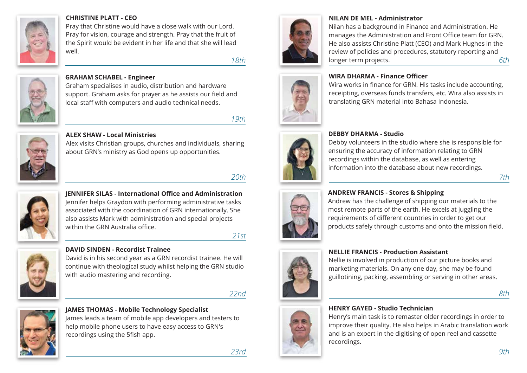

### **CHRISTINE PLATT - CEO**

Pray that Christine would have a close walk with our Lord. Pray for vision, courage and strength. Pray that the fruit of the Spirit would be evident in her life and that she will lead well.

*18th*



### **GRAHAM SCHABEL - Engineer**

Graham specialises in audio, distribution and hardware support. Graham asks for prayer as he assists our field and local staff with computers and audio technical needs.

*19th*



### **ALEX SHAW - Local Ministries**

Alex visits Christian groups, churches and individuals, sharing about GRN's ministry as God opens up opportunities.

# *20th*



**JENNIFER SILAS - International Office and Administration** Jennifer helps Graydon with performing administrative tasks associated with the coordination of GRN internationally. She also assists Mark with administration and special projects within the GRN Australia office.

### *21st*



**DAVID SINDEN - Recordist Trainee**

David is in his second year as a GRN recordist trainee. He will continue with theological study whilst helping the GRN studio with audio mastering and recording.

*22nd*



### **JAMES THOMAS - Mobile Technology Specialist** James leads a team of mobile app developers and testers to

help mobile phone users to have easy access to GRN's recordings using the 5fish app.



### **NILAN DE MEL - Administrator**

**WIRA DHARMA - Finance Officer**

Nilan has a background in Finance and Administration. He manages the Administration and Front Office team for GRN. He also assists Christine Platt (CEO) and Mark Hughes in the review of policies and procedures, statutory reporting and longer term projects. *6th*

Wira works in finance for GRN. His tasks include accounting, receipting, overseas funds transfers, etc. Wira also assists in

translating GRN material into Bahasa Indonesia.



### **DEBBY DHARMA - Studio**

Debby volunteers in the studio where she is responsible for ensuring the accuracy of information relating to GRN recordings within the database, as well as entering information into the database about new recordings.



### **ANDREW FRANCIS - Stores & Shipping**

Andrew has the challenge of shipping our materials to the most remote parts of the earth. He excels at juggling the requirements of different countries in order to get our products safely through customs and onto the mission field.



# **NELLIE FRANCIS - Production Assistant**

Nellie is involved in production of our picture books and marketing materials. On any one day, she may be found guillotining, packing, assembling or serving in other areas.

*8th*

*7th*

### **HENRY GAYED - Studio Technician**

Henry's main task is to remaster older recordings in order to improve their quality. He also helps in Arabic translation work and is an expert in the digitising of open reel and cassette recordings.